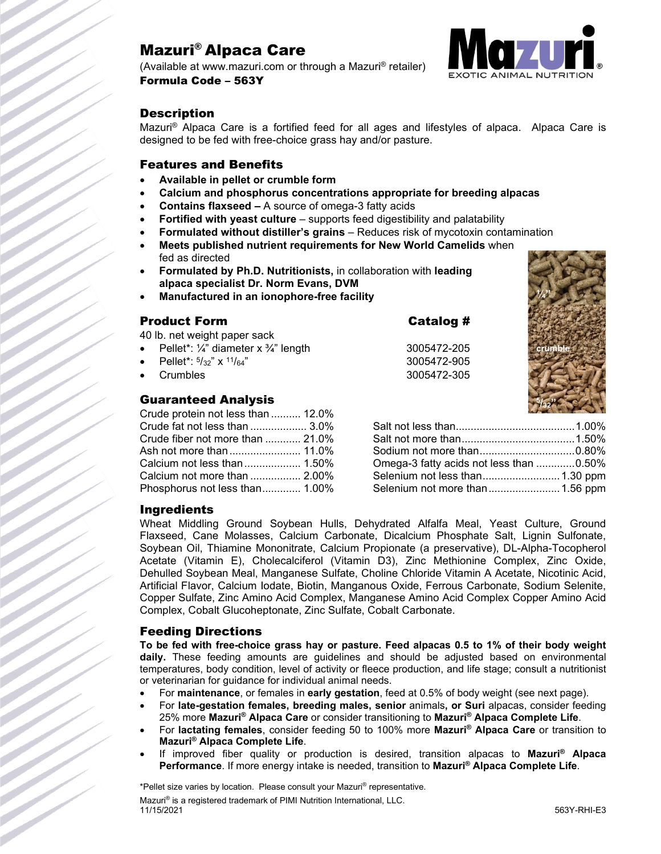# Mazuri® Alpaca Care

(Available at www.mazuri.com or through a Mazuri® retailer) Formula Code – 563Y



## **Description**

Mazuri® Alpaca Care is a fortified feed for all ages and lifestyles of alpaca. Alpaca Care is designed to be fed with free-choice grass hay and/or pasture.

### Features and Benefits

- **Available in pellet or crumble form**
- **Calcium and phosphorus concentrations appropriate for breeding alpacas**
- **Contains flaxseed –** A source of omega-3 fatty acids
- **Fortified with yeast culture** supports feed digestibility and palatability
- **Formulated without distiller's grains** Reduces risk of mycotoxin contamination
- **Meets published nutrient requirements for New World Camelids** when fed as directed
- **Formulated by Ph.D. Nutritionists,** in collaboration with **leading alpaca specialist Dr. Norm Evans, DVM**
- **Manufactured in an ionophore-free facility**

| <b>Product Form</b> |  |
|---------------------|--|
|                     |  |

40 lb. net weight paper sack

- Pellet\*: ¼" diameter x ¾" length 3005472-205
- 
- 

## Guaranteed Analysis

| Crude protein not less than  12.0% |  |
|------------------------------------|--|
| Crude fat not less than  3.0%      |  |
| Crude fiber not more than  21.0%   |  |
|                                    |  |
|                                    |  |
| Calcium not more than  2.00%       |  |
| Phosphorus not less than 1.00%     |  |

Catalog #

• Pellet\*: 5/32" x 11/64" 3005472-905 • Crumbles 3005472-305



| Omega-3 fatty acids not less than 0.50% |  |
|-----------------------------------------|--|
| Selenium not less than 1.30 ppm         |  |
| Selenium not more than 1.56 ppm         |  |

### Ingredients

Wheat Middling Ground Soybean Hulls, Dehydrated Alfalfa Meal, Yeast Culture, Ground Flaxseed, Cane Molasses, Calcium Carbonate, Dicalcium Phosphate Salt, Lignin Sulfonate, Soybean Oil, Thiamine Mononitrate, Calcium Propionate (a preservative), DL-Alpha-Tocopherol Acetate (Vitamin E), Cholecalciferol (Vitamin D3), Zinc Methionine Complex, Zinc Oxide, Dehulled Soybean Meal, Manganese Sulfate, Choline Chloride Vitamin A Acetate, Nicotinic Acid, Artificial Flavor, Calcium Iodate, Biotin, Manganous Oxide, Ferrous Carbonate, Sodium Selenite, Copper Sulfate, Zinc Amino Acid Complex, Manganese Amino Acid Complex Copper Amino Acid Complex, Cobalt Glucoheptonate, Zinc Sulfate, Cobalt Carbonate.

### Feeding Directions

**To be fed with free-choice grass hay or pasture. Feed alpacas 0.5 to 1% of their body weight daily.** These feeding amounts are guidelines and should be adjusted based on environmental temperatures, body condition, level of activity or fleece production, and life stage; consult a nutritionist or veterinarian for guidance for individual animal needs.

- For **maintenance**, or females in **early gestation**, feed at 0.5% of body weight (see next page).
- For **late-gestation females, breeding males, senior** animals**, or Suri** alpacas, consider feeding 25% more **Mazuri ® Alpaca Care** or consider transitioning to **Mazuri® Alpaca Complete Life**.
- For **lactating females**, consider feeding 50 to 100% more **Mazuri® Alpaca Care** or transition to **Mazuri® Alpaca Complete Life**.
- If improved fiber quality or production is desired, transition alpacas to **Mazuri® Alpaca Performance**. If more energy intake is needed, transition to **Mazuri® Alpaca Complete Life**.

\*Pellet size varies by location. Please consult your Mazuri® representative.

Mazuri® is a registered trademark of PIMI Nutrition International, LLC. 11/15/2021 563Y-RHI-E3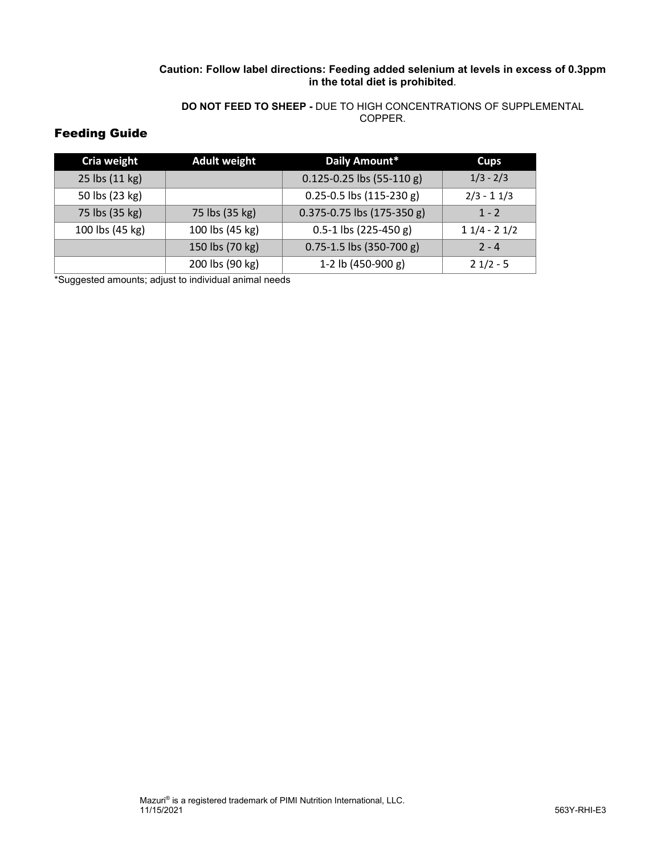### **Caution: Follow label directions: Feeding added selenium at levels in excess of 0.3ppm in the total diet is prohibited**.

#### **DO NOT FEED TO SHEEP -** DUE TO HIGH CONCENTRATIONS OF SUPPLEMENTAL COPPER.

## Feeding Guide

| Cria weight     | <b>Adult weight</b> | Daily Amount*                      | <b>Cups</b>   |
|-----------------|---------------------|------------------------------------|---------------|
| 25 lbs (11 kg)  |                     | $0.125 - 0.25$ lbs (55-110 g)      | $1/3 - 2/3$   |
| 50 lbs (23 kg)  |                     | $0.25 - 0.5$ lbs $(115 - 230 g)$   | $2/3 - 11/3$  |
| 75 lbs (35 kg)  | 75 lbs (35 kg)      | $0.375 - 0.75$ lbs $(175 - 350$ g) | $1 - 2$       |
| 100 lbs (45 kg) | 100 lbs (45 kg)     | $0.5-1$ lbs (225-450 g)            | $11/4 - 21/2$ |
|                 | 150 lbs (70 kg)     | $0.75 - 1.5$ lbs (350-700 g)       | $2 - 4$       |
|                 | 200 lbs (90 kg)     | 1-2 lb (450-900 g)                 | $21/2 - 5$    |

\*Suggested amounts; adjust to individual animal needs